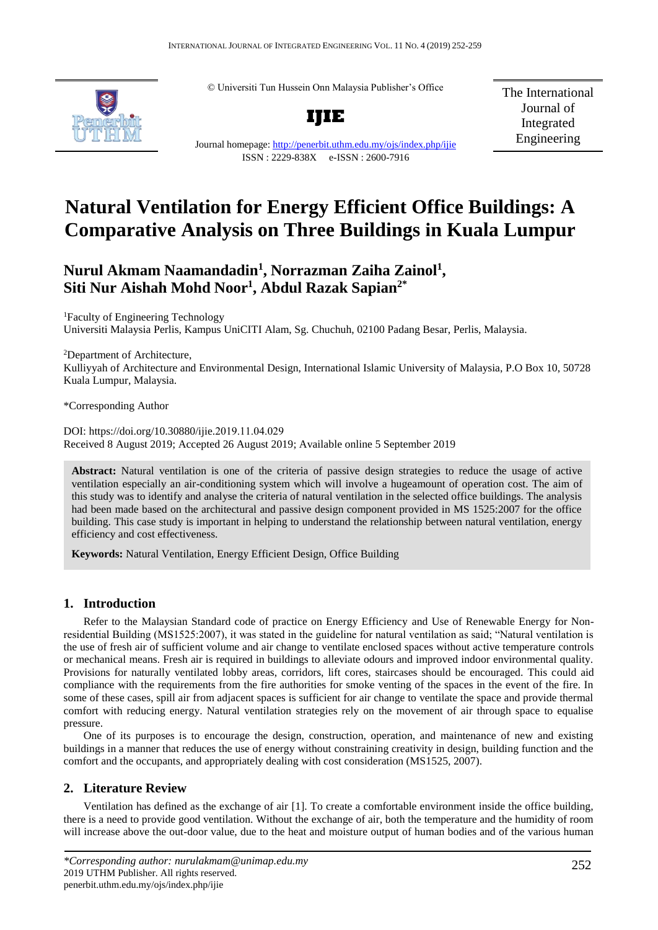© Universiti Tun Hussein Onn Malaysia Publisher's Office



**IJIE**

The International Journal of Integrated Engineering

## Journal homepage:<http://penerbit.uthm.edu.my/ojs/index.php/ijie> ISSN : 2229-838X e-ISSN : 2600-7916

# **Natural Ventilation for Energy Efficient Office Buildings: A Comparative Analysis on Three Buildings in Kuala Lumpur**

## **Nurul Akmam Naamandadin<sup>1</sup> , Norrazman Zaiha Zainol<sup>1</sup> , Siti Nur Aishah Mohd Noor<sup>1</sup> , Abdul Razak Sapian2\***

<sup>1</sup>Faculty of Engineering Technology Universiti Malaysia Perlis, Kampus UniCITI Alam, Sg. Chuchuh, 02100 Padang Besar, Perlis, Malaysia.

<sup>2</sup>Department of Architecture, Kulliyyah of Architecture and Environmental Design, International Islamic University of Malaysia, P.O Box 10, 50728 Kuala Lumpur, Malaysia.

\*Corresponding Author

DOI: https://doi.org/10.30880/ijie.2019.11.04.029 Received 8 August 2019; Accepted 26 August 2019; Available online 5 September 2019

**Abstract:** Natural ventilation is one of the criteria of passive design strategies to reduce the usage of active ventilation especially an air-conditioning system which will involve a hugeamount of operation cost. The aim of this study was to identify and analyse the criteria of natural ventilation in the selected office buildings. The analysis had been made based on the architectural and passive design component provided in MS 1525:2007 for the office building. This case study is important in helping to understand the relationship between natural ventilation, energy efficiency and cost effectiveness.

**Keywords:** Natural Ventilation, Energy Efficient Design, Office Building

## **1. Introduction**

Refer to the Malaysian Standard code of practice on Energy Efficiency and Use of Renewable Energy for Nonresidential Building (MS1525:2007), it was stated in the guideline for natural ventilation as said; "Natural ventilation is the use of fresh air of sufficient volume and air change to ventilate enclosed spaces without active temperature controls or mechanical means. Fresh air is required in buildings to alleviate odours and improved indoor environmental quality. Provisions for naturally ventilated lobby areas, corridors, lift cores, staircases should be encouraged. This could aid compliance with the requirements from the fire authorities for smoke venting of the spaces in the event of the fire. In some of these cases, spill air from adjacent spaces is sufficient for air change to ventilate the space and provide thermal comfort with reducing energy. Natural ventilation strategies rely on the movement of air through space to equalise pressure.

One of its purposes is to encourage the design, construction, operation, and maintenance of new and existing buildings in a manner that reduces the use of energy without constraining creativity in design, building function and the comfort and the occupants, and appropriately dealing with cost consideration (MS1525, 2007).

## **2. Literature Review**

Ventilation has defined as the exchange of air [1]. To create a comfortable environment inside the office building, there is a need to provide good ventilation. Without the exchange of air, both the temperature and the humidity of room will increase above the out-door value, due to the heat and moisture output of human bodies and of the various human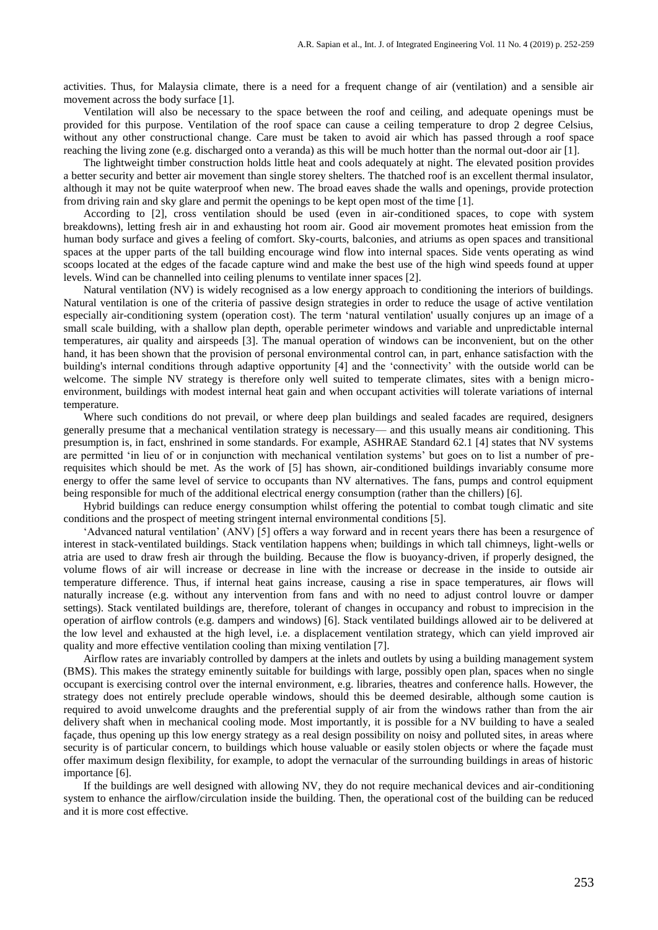activities. Thus, for Malaysia climate, there is a need for a frequent change of air (ventilation) and a sensible air movement across the body surface [1].

Ventilation will also be necessary to the space between the roof and ceiling, and adequate openings must be provided for this purpose. Ventilation of the roof space can cause a ceiling temperature to drop 2 degree Celsius, without any other constructional change. Care must be taken to avoid air which has passed through a roof space reaching the living zone (e.g. discharged onto a veranda) as this will be much hotter than the normal out-door air [1].

The lightweight timber construction holds little heat and cools adequately at night. The elevated position provides a better security and better air movement than single storey shelters. The thatched roof is an excellent thermal insulator, although it may not be quite waterproof when new. The broad eaves shade the walls and openings, provide protection from driving rain and sky glare and permit the openings to be kept open most of the time [1].

According to [2], cross ventilation should be used (even in air-conditioned spaces, to cope with system breakdowns), letting fresh air in and exhausting hot room air. Good air movement promotes heat emission from the human body surface and gives a feeling of comfort. Sky-courts, balconies, and atriums as open spaces and transitional spaces at the upper parts of the tall building encourage wind flow into internal spaces. Side vents operating as wind scoops located at the edges of the facade capture wind and make the best use of the high wind speeds found at upper levels. Wind can be channelled into ceiling plenums to ventilate inner spaces [2].

Natural ventilation (NV) is widely recognised as a low energy approach to conditioning the interiors of buildings. Natural ventilation is one of the criteria of passive design strategies in order to reduce the usage of active ventilation especially air-conditioning system (operation cost). The term 'natural ventilation' usually conjures up an image of a small scale building, with a shallow plan depth, operable perimeter windows and variable and unpredictable internal temperatures, air quality and airspeeds [3]. The manual operation of windows can be inconvenient, but on the other hand, it has been shown that the provision of personal environmental control can, in part, enhance satisfaction with the building's internal conditions through adaptive opportunity [4] and the 'connectivity' with the outside world can be welcome. The simple NV strategy is therefore only well suited to temperate climates, sites with a benign microenvironment, buildings with modest internal heat gain and when occupant activities will tolerate variations of internal temperature.

Where such conditions do not prevail, or where deep plan buildings and sealed facades are required, designers generally presume that a mechanical ventilation strategy is necessary— and this usually means air conditioning. This presumption is, in fact, enshrined in some standards. For example, ASHRAE Standard 62.1 [4] states that NV systems are permitted 'in lieu of or in conjunction with mechanical ventilation systems' but goes on to list a number of prerequisites which should be met. As the work of [5] has shown, air-conditioned buildings invariably consume more energy to offer the same level of service to occupants than NV alternatives. The fans, pumps and control equipment being responsible for much of the additional electrical energy consumption (rather than the chillers) [6].

Hybrid buildings can reduce energy consumption whilst offering the potential to combat tough climatic and site conditions and the prospect of meeting stringent internal environmental conditions [5].

'Advanced natural ventilation' (ANV) [5] offers a way forward and in recent years there has been a resurgence of interest in stack-ventilated buildings. Stack ventilation happens when; buildings in which tall chimneys, light-wells or atria are used to draw fresh air through the building. Because the flow is buoyancy-driven, if properly designed, the volume flows of air will increase or decrease in line with the increase or decrease in the inside to outside air temperature difference. Thus, if internal heat gains increase, causing a rise in space temperatures, air flows will naturally increase (e.g. without any intervention from fans and with no need to adjust control louvre or damper settings). Stack ventilated buildings are, therefore, tolerant of changes in occupancy and robust to imprecision in the operation of airflow controls (e.g. dampers and windows) [6]. Stack ventilated buildings allowed air to be delivered at the low level and exhausted at the high level, i.e. a displacement ventilation strategy, which can yield improved air quality and more effective ventilation cooling than mixing ventilation [7].

Airflow rates are invariably controlled by dampers at the inlets and outlets by using a building management system (BMS). This makes the strategy eminently suitable for buildings with large, possibly open plan, spaces when no single occupant is exercising control over the internal environment, e.g. libraries, theatres and conference halls. However, the strategy does not entirely preclude operable windows, should this be deemed desirable, although some caution is required to avoid unwelcome draughts and the preferential supply of air from the windows rather than from the air delivery shaft when in mechanical cooling mode. Most importantly, it is possible for a NV building to have a sealed façade, thus opening up this low energy strategy as a real design possibility on noisy and polluted sites, in areas where security is of particular concern, to buildings which house valuable or easily stolen objects or where the façade must offer maximum design flexibility, for example, to adopt the vernacular of the surrounding buildings in areas of historic importance [6].

If the buildings are well designed with allowing NV, they do not require mechanical devices and air-conditioning system to enhance the airflow/circulation inside the building. Then, the operational cost of the building can be reduced and it is more cost effective.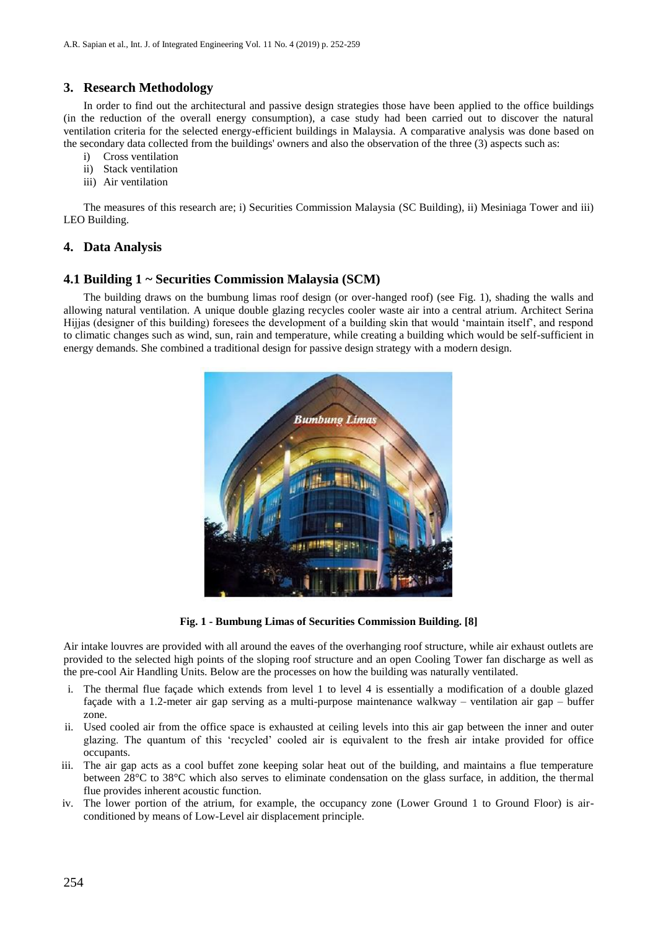## **3. Research Methodology**

In order to find out the architectural and passive design strategies those have been applied to the office buildings (in the reduction of the overall energy consumption), a case study had been carried out to discover the natural ventilation criteria for the selected energy-efficient buildings in Malaysia. A comparative analysis was done based on the secondary data collected from the buildings' owners and also the observation of the three (3) aspects such as:

- i) Cross ventilation
- ii) Stack ventilation
- iii) Air ventilation

The measures of this research are; i) Securities Commission Malaysia (SC Building), ii) Mesiniaga Tower and iii) LEO Building.

## **4. Data Analysis**

## **4.1 Building 1 ~ Securities Commission Malaysia (SCM)**

The building draws on the bumbung limas roof design (or over-hanged roof) (see Fig. 1), shading the walls and allowing natural ventilation. A unique double glazing recycles cooler waste air into a central atrium. Architect Serina Hijjas (designer of this building) foresees the development of a building skin that would 'maintain itself', and respond to climatic changes such as wind, sun, rain and temperature, while creating a building which would be self-sufficient in energy demands. She combined a traditional design for passive design strategy with a modern design.



**Fig. 1 - Bumbung Limas of Securities Commission Building. [8]**

Air intake louvres are provided with all around the eaves of the overhanging roof structure, while air exhaust outlets are provided to the selected high points of the sloping roof structure and an open Cooling Tower fan discharge as well as the pre-cool Air Handling Units. Below are the processes on how the building was naturally ventilated.

- i. The thermal flue façade which extends from level 1 to level 4 is essentially a modification of a double glazed façade with a 1.2-meter air gap serving as a multi-purpose maintenance walkway – ventilation air gap – buffer zone.
- ii. Used cooled air from the office space is exhausted at ceiling levels into this air gap between the inner and outer glazing. The quantum of this 'recycled' cooled air is equivalent to the fresh air intake provided for office occupants.
- iii. The air gap acts as a cool buffet zone keeping solar heat out of the building, and maintains a flue temperature between 28°C to 38°C which also serves to eliminate condensation on the glass surface, in addition, the thermal flue provides inherent acoustic function.
- iv. The lower portion of the atrium, for example, the occupancy zone (Lower Ground 1 to Ground Floor) is airconditioned by means of Low-Level air displacement principle.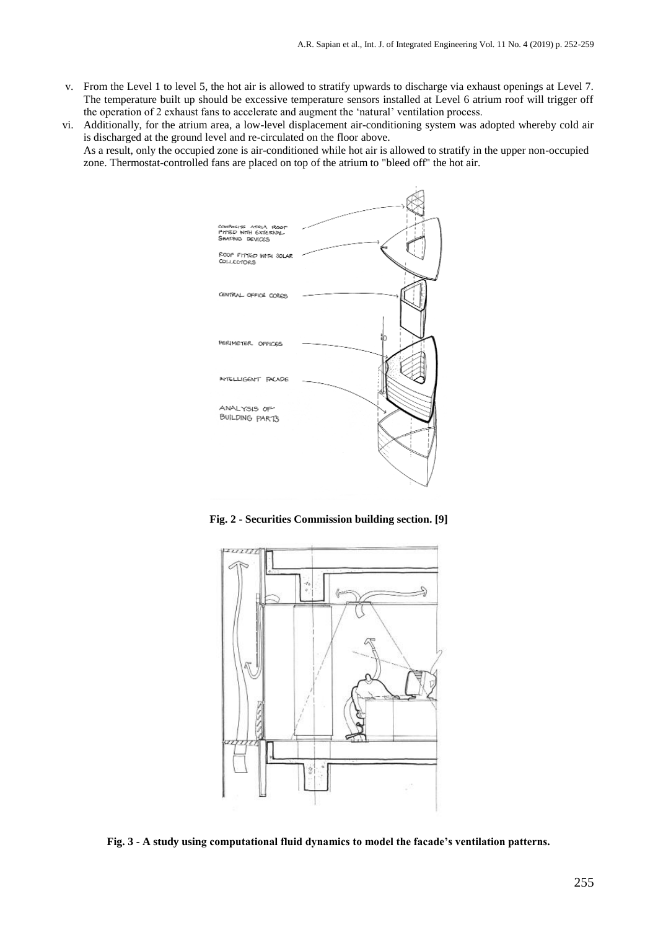- v. From the Level 1 to level 5, the hot air is allowed to stratify upwards to discharge via exhaust openings at Level 7. The temperature built up should be excessive temperature sensors installed at Level 6 atrium roof will trigger off the operation of 2 exhaust fans to accelerate and augment the 'natural' ventilation process.
- vi. Additionally, for the atrium area, a low-level displacement air-conditioning system was adopted whereby cold air is discharged at the ground level and re-circulated on the floor above. As a result, only the occupied zone is air-conditioned while hot air is allowed to stratify in the upper non-occupied zone. Thermostat-controlled fans are placed on top of the atrium to "bleed off" the hot air.



**Fig. 2 - Securities Commission building section. [9]**



**Fig. 3 - A study using computational fluid dynamics to model the facade's ventilation patterns.**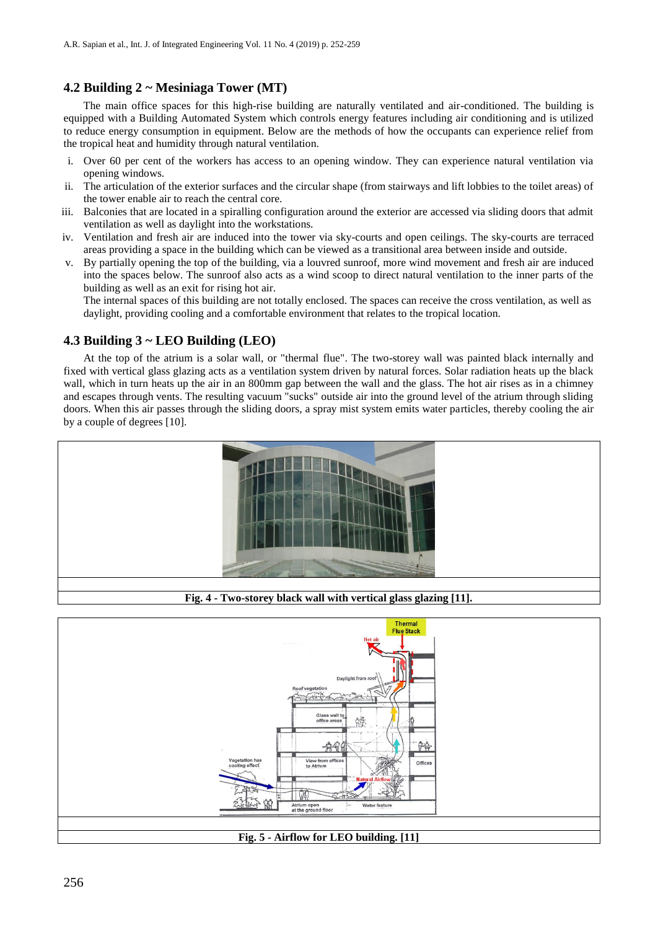## **4.2 Building 2 ~ Mesiniaga Tower (MT)**

The main office spaces for this high-rise building are naturally ventilated and air-conditioned. The building is equipped with a Building Automated System which controls energy features including air conditioning and is utilized to reduce energy consumption in equipment. Below are the methods of how the occupants can experience relief from the tropical heat and humidity through natural ventilation.

- i. Over 60 per cent of the workers has access to an opening window. They can experience natural ventilation via opening windows.
- ii. The articulation of the exterior surfaces and the circular shape (from stairways and lift lobbies to the toilet areas) of the tower enable air to reach the central core.
- iii. Balconies that are located in a spiralling configuration around the exterior are accessed via sliding doors that admit ventilation as well as daylight into the workstations.
- iv. Ventilation and fresh air are induced into the tower via sky-courts and open ceilings. The sky-courts are terraced areas providing a space in the building which can be viewed as a transitional area between inside and outside.
- v. By partially opening the top of the building, via a louvred sunroof, more wind movement and fresh air are induced into the spaces below. The sunroof also acts as a wind scoop to direct natural ventilation to the inner parts of the building as well as an exit for rising hot air.

The internal spaces of this building are not totally enclosed. The spaces can receive the cross ventilation, as well as daylight, providing cooling and a comfortable environment that relates to the tropical location.

## **4.3 Building 3 ~ LEO Building (LEO)**

At the top of the atrium is a solar wall, or "thermal flue". The two-storey wall was painted black internally and fixed with vertical glass glazing acts as a ventilation system driven by natural forces. Solar radiation heats up the black wall, which in turn heats up the air in an 800mm gap between the wall and the glass. The hot air rises as in a chimney and escapes through vents. The resulting vacuum "sucks" outside air into the ground level of the atrium through sliding doors. When this air passes through the sliding doors, a spray mist system emits water particles, thereby cooling the air by a couple of degrees [10].



**Fig. 4 - Two-storey black wall with vertical glass glazing [11].**

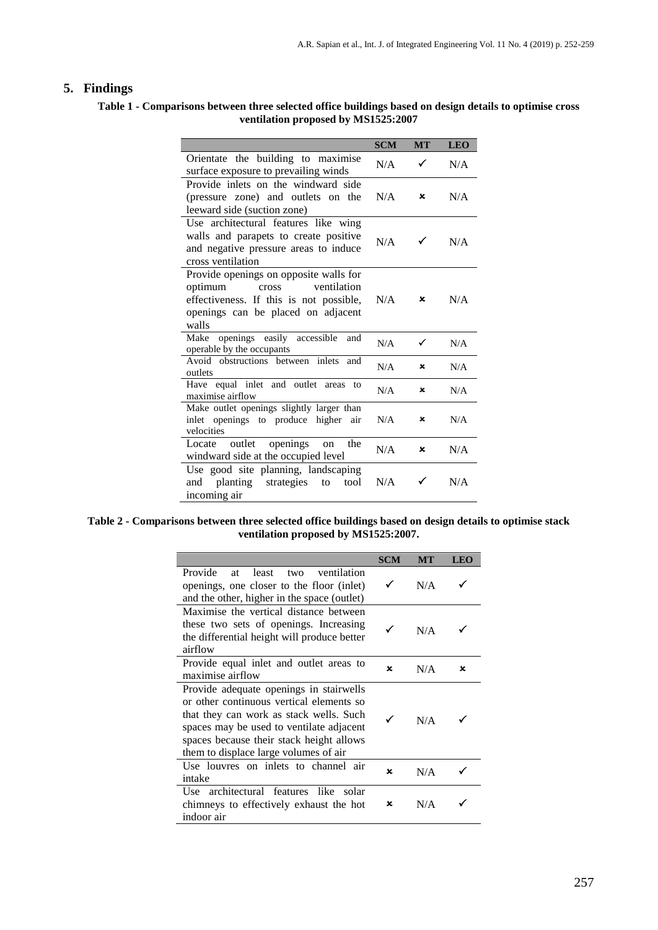## **5. Findings**

## **Table 1 - Comparisons between three selected office buildings based on design details to optimise cross ventilation proposed by MS1525:2007**

|                                                                                                                                                                     | <b>SCM</b> | <b>MT</b> | <b>LEO</b> |
|---------------------------------------------------------------------------------------------------------------------------------------------------------------------|------------|-----------|------------|
| Orientate the building to maximise<br>surface exposure to prevailing winds                                                                                          | N/A        | ✓         | N/A        |
| Provide inlets on the windward side<br>(pressure zone) and outlets on the<br>leeward side (suction zone)                                                            | N/A        | ×         | N/A        |
| Use architectural features like wing<br>walls and parapets to create positive<br>and negative pressure areas to induce<br>cross ventilation                         | N/A        |           | N/A        |
| Provide openings on opposite walls for<br>optimum<br>ventilation<br>cross<br>effectiveness. If this is not possible,<br>openings can be placed on adjacent<br>walls | N/A        | x         | N/A        |
| openings easily accessible<br>Make<br>and<br>operable by the occupants                                                                                              | N/A        | ✓         | N/A        |
| Avoid<br>obstructions between inlets<br>and<br>outlets                                                                                                              | N/A        | ×         | N/A        |
| Have equal inlet and outlet areas<br>to<br>maximise airflow                                                                                                         | N/A        | ×         | N/A        |
| Make outlet openings slightly larger than<br>inlet openings to produce higher air<br>velocities                                                                     | N/A        | ×         | N/A        |
| outlet openings<br>the<br>Locate<br>on<br>windward side at the occupied level                                                                                       | N/A        | ×         | N/A        |
| Use good site planning, landscaping<br>planting<br>strategies<br>and<br>to<br>tool<br>incoming air                                                                  | N/A        |           | N/A        |

#### **Table 2 - Comparisons between three selected office buildings based on design details to optimise stack ventilation proposed by MS1525:2007.**

|                                                                                                                                                                                                                                                                 | <b>SCM</b> | <b>MT</b> | <b>LEO</b> |
|-----------------------------------------------------------------------------------------------------------------------------------------------------------------------------------------------------------------------------------------------------------------|------------|-----------|------------|
| Provide<br>least<br>ventilation<br>two<br>at<br>openings, one closer to the floor (inlet)<br>and the other, higher in the space (outlet)                                                                                                                        | ✓          | N/A       |            |
| Maximise the vertical distance between<br>these two sets of openings. Increasing<br>the differential height will produce better<br>airflow                                                                                                                      | ✓          | N/A       |            |
| Provide equal inlet and outlet areas to<br>maximise airflow                                                                                                                                                                                                     | x          | N/A       | ×          |
| Provide adequate openings in stairwells<br>or other continuous vertical elements so<br>that they can work as stack wells. Such<br>spaces may be used to ventilate adjacent<br>spaces because their stack height allows<br>them to displace large volumes of air |            | N/A       |            |
| Use louvres on inlets to channel air<br>intake                                                                                                                                                                                                                  | x          | N/A       |            |
| Use architectural features like<br>solar<br>chimneys to effectively exhaust the hot<br>indoor air                                                                                                                                                               | ×          | N/A       |            |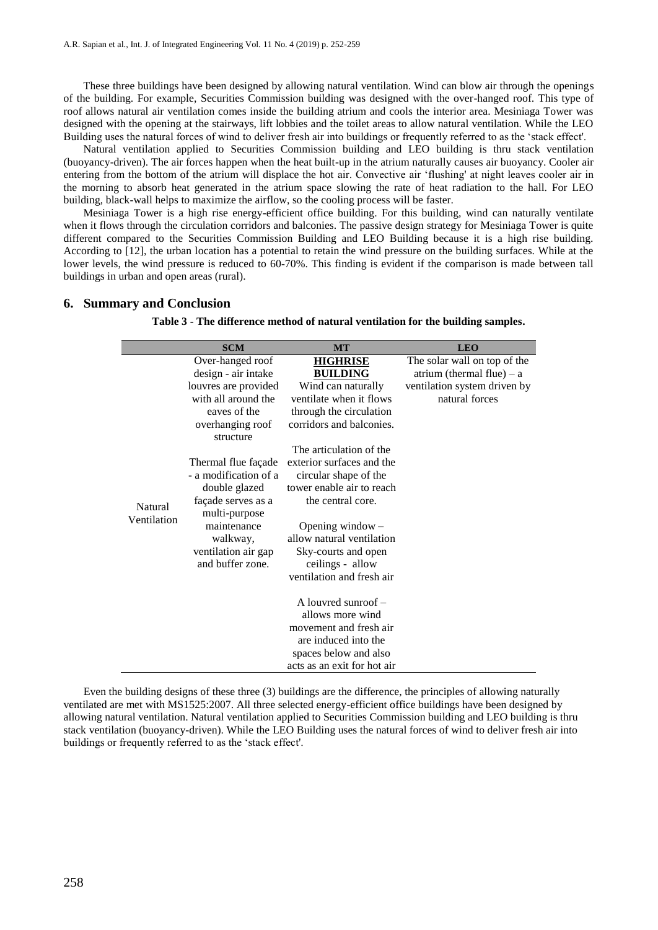These three buildings have been designed by allowing natural ventilation. Wind can blow air through the openings of the building. For example, Securities Commission building was designed with the over-hanged roof. This type of roof allows natural air ventilation comes inside the building atrium and cools the interior area. Mesiniaga Tower was designed with the opening at the stairways, lift lobbies and the toilet areas to allow natural ventilation. While the LEO Building uses the natural forces of wind to deliver fresh air into buildings or frequently referred to as the 'stack effect'.

Natural ventilation applied to Securities Commission building and LEO building is thru stack ventilation (buoyancy-driven). The air forces happen when the heat built-up in the atrium naturally causes air buoyancy. Cooler air entering from the bottom of the atrium will displace the hot air. Convective air 'flushing' at night leaves cooler air in the morning to absorb heat generated in the atrium space slowing the rate of heat radiation to the hall. For LEO building, black-wall helps to maximize the airflow, so the cooling process will be faster.

Mesiniaga Tower is a high rise energy-efficient office building. For this building, wind can naturally ventilate when it flows through the circulation corridors and balconies. The passive design strategy for Mesiniaga Tower is quite different compared to the Securities Commission Building and LEO Building because it is a high rise building. According to [12], the urban location has a potential to retain the wind pressure on the building surfaces. While at the lower levels, the wind pressure is reduced to 60-70%. This finding is evident if the comparison is made between tall buildings in urban and open areas (rural).

|                        | <b>SCM</b>                                                                                           | <b>MT</b>                                                                                                                                           | <b>LEO</b>                                                  |
|------------------------|------------------------------------------------------------------------------------------------------|-----------------------------------------------------------------------------------------------------------------------------------------------------|-------------------------------------------------------------|
|                        | Over-hanged roof<br>design - air intake                                                              | <b>HIGHRISE</b><br><b>BUILDING</b>                                                                                                                  | The solar wall on top of the<br>atrium (thermal flue) $- a$ |
|                        | louvres are provided<br>with all around the<br>eaves of the<br>overhanging roof<br>structure         | Wind can naturally<br>ventilate when it flows<br>through the circulation<br>corridors and balconies.                                                | ventilation system driven by<br>natural forces              |
| Natural<br>Ventilation | Thermal flue façade<br>- a modification of a<br>double glazed<br>façade serves as a<br>multi-purpose | The articulation of the<br>exterior surfaces and the<br>circular shape of the<br>tower enable air to reach<br>the central core.                     |                                                             |
|                        | maintenance<br>walkway,<br>ventilation air gap<br>and buffer zone.                                   | Opening window $-$<br>allow natural ventilation<br>Sky-courts and open<br>ceilings - allow<br>ventilation and fresh air                             |                                                             |
|                        |                                                                                                      | A louvred sunroof $-$<br>allows more wind<br>movement and fresh air<br>are induced into the<br>spaces below and also<br>acts as an exit for hot air |                                                             |

#### **6. Summary and Conclusion**

**Table 3 - The difference method of natural ventilation for the building samples.**

Even the building designs of these three (3) buildings are the difference, the principles of allowing naturally ventilated are met with MS1525:2007. All three selected energy-efficient office buildings have been designed by allowing natural ventilation. Natural ventilation applied to Securities Commission building and LEO building is thru stack ventilation (buoyancy-driven). While the LEO Building uses the natural forces of wind to deliver fresh air into buildings or frequently referred to as the 'stack effect'.